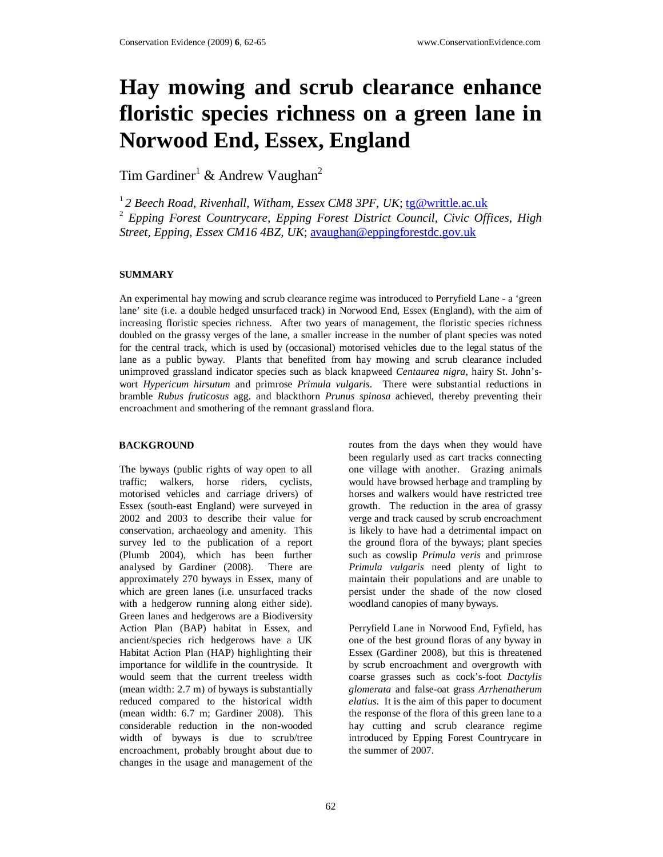# **Hay mowing and scrub clearance enhance floristic species richness on a green lane in Norwood End, Essex, England**

Tim Gardiner<sup>1</sup> & Andrew Vaughan<sup>2</sup>

<sup>1</sup>*2 Beech Road, Rivenhall, Witham, Essex CM8 3PF, UK*; tg@writtle.ac.uk 2 *Epping Forest Countrycare, Epping Forest District Council, Civic Offices, High Street, Epping, Essex CM16 4BZ, UK*; avaughan@eppingforestdc.gov.uk

### **SUMMARY**

An experimental hay mowing and scrub clearance regime was introduced to Perryfield Lane - a 'green lane' site (i.e. a double hedged unsurfaced track) in Norwood End, Essex (England), with the aim of increasing floristic species richness. After two years of management, the floristic species richness doubled on the grassy verges of the lane, a smaller increase in the number of plant species was noted for the central track, which is used by (occasional) motorised vehicles due to the legal status of the lane as a public byway. Plants that benefited from hay mowing and scrub clearance included unimproved grassland indicator species such as black knapweed *Centaurea nigra*, hairy St. John'swort *Hypericum hirsutum* and primrose *Primula vulgaris*. There were substantial reductions in bramble *Rubus fruticosus* agg. and blackthorn *Prunus spinosa* achieved, thereby preventing their encroachment and smothering of the remnant grassland flora.

#### **BACKGROUND**

The byways (public rights of way open to all traffic; walkers, horse riders, cyclists, motorised vehicles and carriage drivers) of Essex (south-east England) were surveyed in 2002 and 2003 to describe their value for conservation, archaeology and amenity. This survey led to the publication of a report (Plumb 2004), which has been further analysed by Gardiner (2008). There are approximately 270 byways in Essex, many of which are green lanes (i.e. unsurfaced tracks with a hedgerow running along either side). Green lanes and hedgerows are a Biodiversity Action Plan (BAP) habitat in Essex, and ancient/species rich hedgerows have a UK Habitat Action Plan (HAP) highlighting their importance for wildlife in the countryside. It would seem that the current treeless width (mean width: 2.7 m) of byways is substantially reduced compared to the historical width (mean width: 6.7 m; Gardiner 2008). This considerable reduction in the non-wooded width of byways is due to scrub/tree encroachment, probably brought about due to changes in the usage and management of the

routes from the days when they would have been regularly used as cart tracks connecting one village with another. Grazing animals would have browsed herbage and trampling by horses and walkers would have restricted tree growth. The reduction in the area of grassy verge and track caused by scrub encroachment is likely to have had a detrimental impact on the ground flora of the byways; plant species such as cowslip *Primula veris* and primrose *Primula vulgaris* need plenty of light to maintain their populations and are unable to persist under the shade of the now closed woodland canopies of many byways.

Perryfield Lane in Norwood End, Fyfield, has one of the best ground floras of any byway in Essex (Gardiner 2008), but this is threatened by scrub encroachment and overgrowth with coarse grasses such as cock's-foot *Dactylis glomerata* and false-oat grass *Arrhenatherum elatius*. It is the aim of this paper to document the response of the flora of this green lane to a hay cutting and scrub clearance regime introduced by Epping Forest Countrycare in the summer of 2007.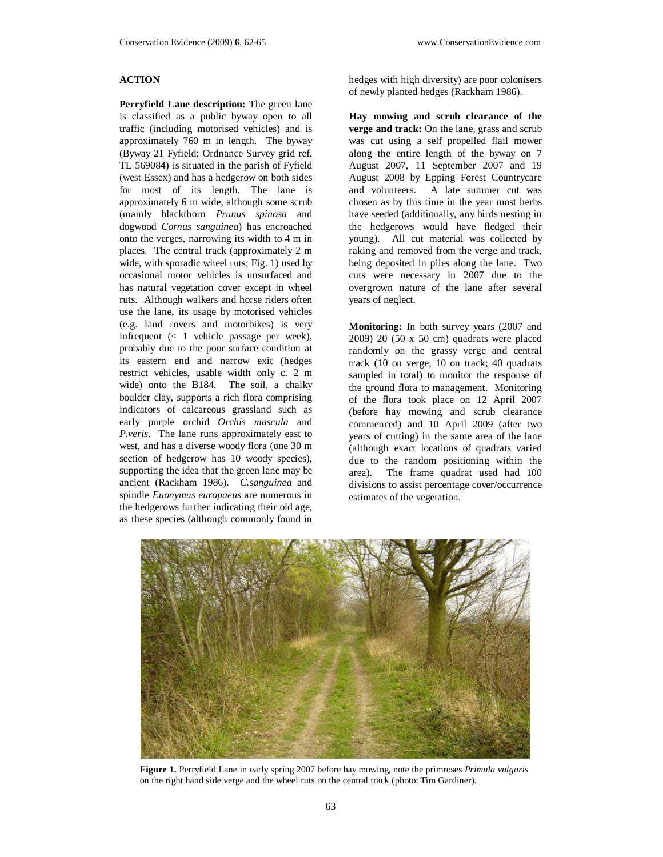## **ACTION**

**Perryfield Lane description:** The green lane is classified as a public byway open to all traffic (including motorised vehicles) and is approximately 760 m in length. The byway (Byway 21 Fyfield; Ordnance Survey grid ref. TL 569084) is situated in the parish of Fyfield (west Essex) and has a hedgerow on both sides for most of its length. The lane is approximately 6 m wide, although some scrub (mainly blackthorn *Prunus spinosa* and dogwood *Cornus sanguinea*) has encroached onto the verges, narrowing its width to 4 m in places. The central track (approximately 2 m wide, with sporadic wheel ruts; Fig. 1) used by occasional motor vehicles is unsurfaced and has natural vegetation cover except in wheel ruts. Although walkers and horse riders often use the lane, its usage by motorised vehicles (e.g. land rovers and motorbikes) is very infrequent (< 1 vehicle passage per week), probably due to the poor surface condition at its eastern end and narrow exit (hedges restrict vehicles, usable width only c. 2 m wide) onto the B184. The soil, a chalky boulder clay, supports a rich flora comprising indicators of calcareous grassland such as early purple orchid *Orchis mascula* and *P.veris*. The lane runs approximately east to west, and has a diverse woody flora (one 30 m section of hedgerow has 10 woody species), supporting the idea that the green lane may be ancient (Rackham 1986). *C.sanguinea* and spindle *Euonymus europaeus* are numerous in the hedgerows further indicating their old age, as these species (although commonly found in

hedges with high diversity) are poor colonisers of newly planted hedges (Rackham 1986).

**Hay mowing and scrub clearance of the verge and track:** On the lane, grass and scrub was cut using a self propelled flail mower along the entire length of the byway on 7 August 2007, 11 September 2007 and 19 August 2008 by Epping Forest Countrycare and volunteers. A late summer cut was chosen as by this time in the year most herbs have seeded (additionally, any birds nesting in the hedgerows would have fledged their young). All cut material was collected by raking and removed from the verge and track, being deposited in piles along the lane. Two cuts were necessary in 2007 due to the overgrown nature of the lane after several years of neglect.

**Monitoring:** In both survey years (2007 and  $2009$ )  $20(50 \times 50 \text{ cm})$  quadrats were placed randomly on the grassy verge and central track (10 on verge, 10 on track; 40 quadrats sampled in total) to monitor the response of the ground flora to management. Monitoring of the flora took place on 12 April 2007 (before hay mowing and scrub clearance commenced) and 10 April 2009 (after two years of cutting) in the same area of the lane (although exact locations of quadrats varied due to the random positioning within the area). The frame quadrat used had 100 divisions to assist percentage cover/occurrence estimates of the vegetation.



**Figure 1.** Perryfield Lane in early spring 2007 before hay mowing, note the primroses *Primula vulgaris* on the right hand side verge and the wheel ruts on the central track (photo: Tim Gardiner).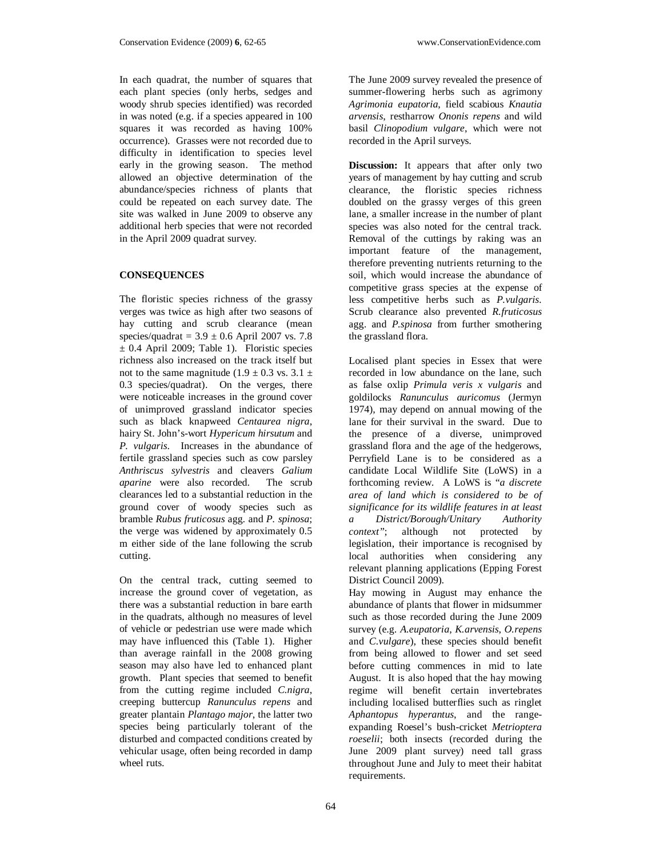In each quadrat, the number of squares that each plant species (only herbs, sedges and woody shrub species identified) was recorded in was noted (e.g. if a species appeared in 100 squares it was recorded as having 100% occurrence). Grasses were not recorded due to difficulty in identification to species level early in the growing season. The method allowed an objective determination of the abundance/species richness of plants that could be repeated on each survey date. The site was walked in June 2009 to observe any additional herb species that were not recorded in the April 2009 quadrat survey.

## **CONSEQUENCES**

The floristic species richness of the grassy verges was twice as high after two seasons of hay cutting and scrub clearance (mean species/quadrat =  $3.9 \pm 0.6$  April 2007 vs. 7.8  $\pm$  0.4 April 2009; Table 1). Floristic species richness also increased on the track itself but not to the same magnitude  $(1.9 \pm 0.3 \text{ vs. } 3.1 \pm 1.5 \text{ s})$ 0.3 species/quadrat). On the verges, there were noticeable increases in the ground cover of unimproved grassland indicator species such as black knapweed *Centaurea nigra*, hairy St. John's-wort *Hypericum hirsutum* and *P. vulgaris*. Increases in the abundance of fertile grassland species such as cow parsley *Anthriscus sylvestris* and cleavers *Galium aparine* were also recorded. The scrub clearances led to a substantial reduction in the ground cover of woody species such as bramble *Rubus fruticosus* agg. and *P. spinosa*; the verge was widened by approximately 0.5 m either side of the lane following the scrub cutting.

On the central track, cutting seemed to increase the ground cover of vegetation, as there was a substantial reduction in bare earth in the quadrats, although no measures of level of vehicle or pedestrian use were made which may have influenced this (Table 1). Higher than average rainfall in the 2008 growing season may also have led to enhanced plant growth. Plant species that seemed to benefit from the cutting regime included *C.nigra*, creeping buttercup *Ranunculus repens* and greater plantain *Plantago major*, the latter two species being particularly tolerant of the disturbed and compacted conditions created by vehicular usage, often being recorded in damp wheel ruts.

The June 2009 survey revealed the presence of summer-flowering herbs such as agrimony *Agrimonia eupatoria*, field scabious *Knautia arvensis*, restharrow *Ononis repens* and wild basil *Clinopodium vulgare*, which were not recorded in the April surveys.

**Discussion:** It appears that after only two years of management by hay cutting and scrub clearance, the floristic species richness doubled on the grassy verges of this green lane, a smaller increase in the number of plant species was also noted for the central track. Removal of the cuttings by raking was an important feature of the management, therefore preventing nutrients returning to the soil, which would increase the abundance of competitive grass species at the expense of less competitive herbs such as *P.vulgaris*. Scrub clearance also prevented *R.fruticosus* agg. and *P.spinosa* from further smothering the grassland flora.

Localised plant species in Essex that were recorded in low abundance on the lane, such as false oxlip *Primula veris x vulgaris* and goldilocks *Ranunculus auricomus* (Jermyn 1974), may depend on annual mowing of the lane for their survival in the sward. Due to the presence of a diverse, unimproved grassland flora and the age of the hedgerows, Perryfield Lane is to be considered as a candidate Local Wildlife Site (LoWS) in a forthcoming review. A LoWS is "*a discrete area of land which is considered to be of significance for its wildlife features in at least a District/Borough/Unitary Authority context"*; although not protected by legislation, their importance is recognised by local authorities when considering any relevant planning applications (Epping Forest District Council 2009).

Hay mowing in August may enhance the abundance of plants that flower in midsummer such as those recorded during the June 2009 survey (e.g. *A.eupatoria*, *K.arvensis*, *O.repens* and *C.vulgare*), these species should benefit from being allowed to flower and set seed before cutting commences in mid to late August. It is also hoped that the hay mowing regime will benefit certain invertebrates including localised butterflies such as ringlet *Aphantopus hyperantus*, and the rangeexpanding Roesel's bush-cricket *Metrioptera roeselii*; both insects (recorded during the June 2009 plant survey) need tall grass throughout June and July to meet their habitat requirements.